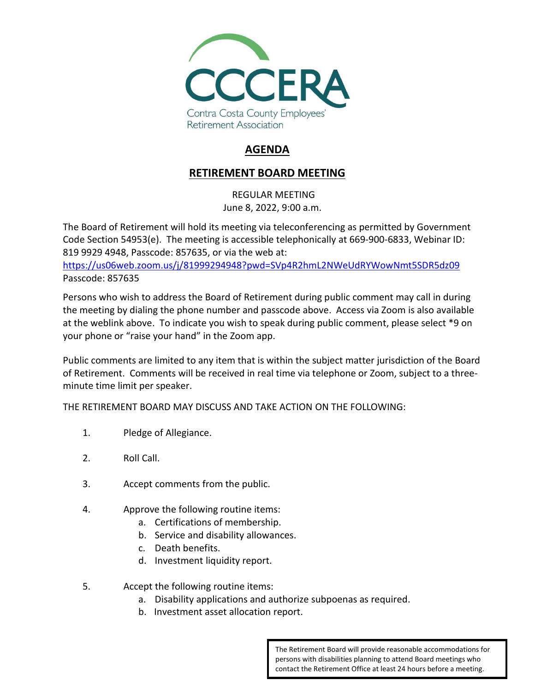

# **AGENDA**

## **RETIREMENT BOARD MEETING**

REGULAR MEETING June 8, 2022, 9:00 a.m.

The Board of Retirement will hold its meeting via teleconferencing as permitted by Government Code Section 54953(e). The meeting is accessible telephonically at 669-900-6833, Webinar ID: 819 9929 4948, Passcode: 857635, or via the web at:

<https://us06web.zoom.us/j/81999294948?pwd=SVp4R2hmL2NWeUdRYWowNmt5SDR5dz09> Passcode: 857635

Persons who wish to address the Board of Retirement during public comment may call in during the meeting by dialing the phone number and passcode above. Access via Zoom is also available at the weblink above. To indicate you wish to speak during public comment, please select \*9 on your phone or "raise your hand" in the Zoom app.

Public comments are limited to any item that is within the subject matter jurisdiction of the Board of Retirement. Comments will be received in real time via telephone or Zoom, subject to a threeminute time limit per speaker.

THE RETIREMENT BOARD MAY DISCUSS AND TAKE ACTION ON THE FOLLOWING:

- 1. Pledge of Allegiance.
- 2. Roll Call.
- 3. Accept comments from the public.
- 4. Approve the following routine items:
	- a. Certifications of membership.
	- b. Service and disability allowances.
	- c. Death benefits.
	- d. Investment liquidity report.
- 5. Accept the following routine items:
	- a. Disability applications and authorize subpoenas as required.
	- b. Investment asset allocation report.

The Retirement Board will provide reasonable accommodations for persons with disabilities planning to attend Board meetings who contact the Retirement Office at least 24 hours before a meeting.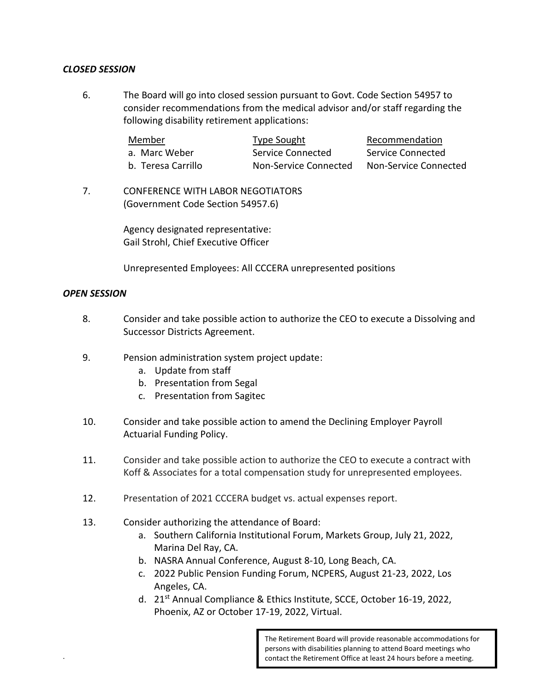### *CLOSED SESSION*

6. The Board will go into closed session pursuant to Govt. Code Section 54957 to consider recommendations from the medical advisor and/or staff regarding the following disability retirement applications:

| Member             | Type Sought           | Recommendation        |
|--------------------|-----------------------|-----------------------|
| a. Marc Weber      | Service Connected     | Service Connected     |
| b. Teresa Carrillo | Non-Service Connected | Non-Service Connected |

7. CONFERENCE WITH LABOR NEGOTIATORS (Government Code Section 54957.6)

> Agency designated representative: Gail Strohl, Chief Executive Officer

Unrepresented Employees: All CCCERA unrepresented positions

#### *OPEN SESSION*

.

- 8. Consider and take possible action to authorize the CEO to execute a Dissolving and Successor Districts Agreement.
- 9. Pension administration system project update:
	- a. Update from staff
	- b. Presentation from Segal
	- c. Presentation from Sagitec
- 10. Consider and take possible action to amend the Declining Employer Payroll Actuarial Funding Policy.
- 11. Consider and take possible action to authorize the CEO to execute a contract with Koff & Associates for a total compensation study for unrepresented employees.
- 12. Presentation of 2021 CCCERA budget vs. actual expenses report.
- 13. Consider authorizing the attendance of Board:
	- a. Southern California Institutional Forum, Markets Group, July 21, 2022, Marina Del Ray, CA.
	- b. NASRA Annual Conference, August 8-10, Long Beach, CA.
	- c. 2022 Public Pension Funding Forum, NCPERS, August 21-23, 2022, Los Angeles, CA.
	- d. 21st Annual Compliance & Ethics Institute, SCCE, October 16-19, 2022, Phoenix, AZ or October 17-19, 2022, Virtual.

The Retirement Board will provide reasonable accommodations for persons with disabilities planning to attend Board meetings who contact the Retirement Office at least 24 hours before a meeting.